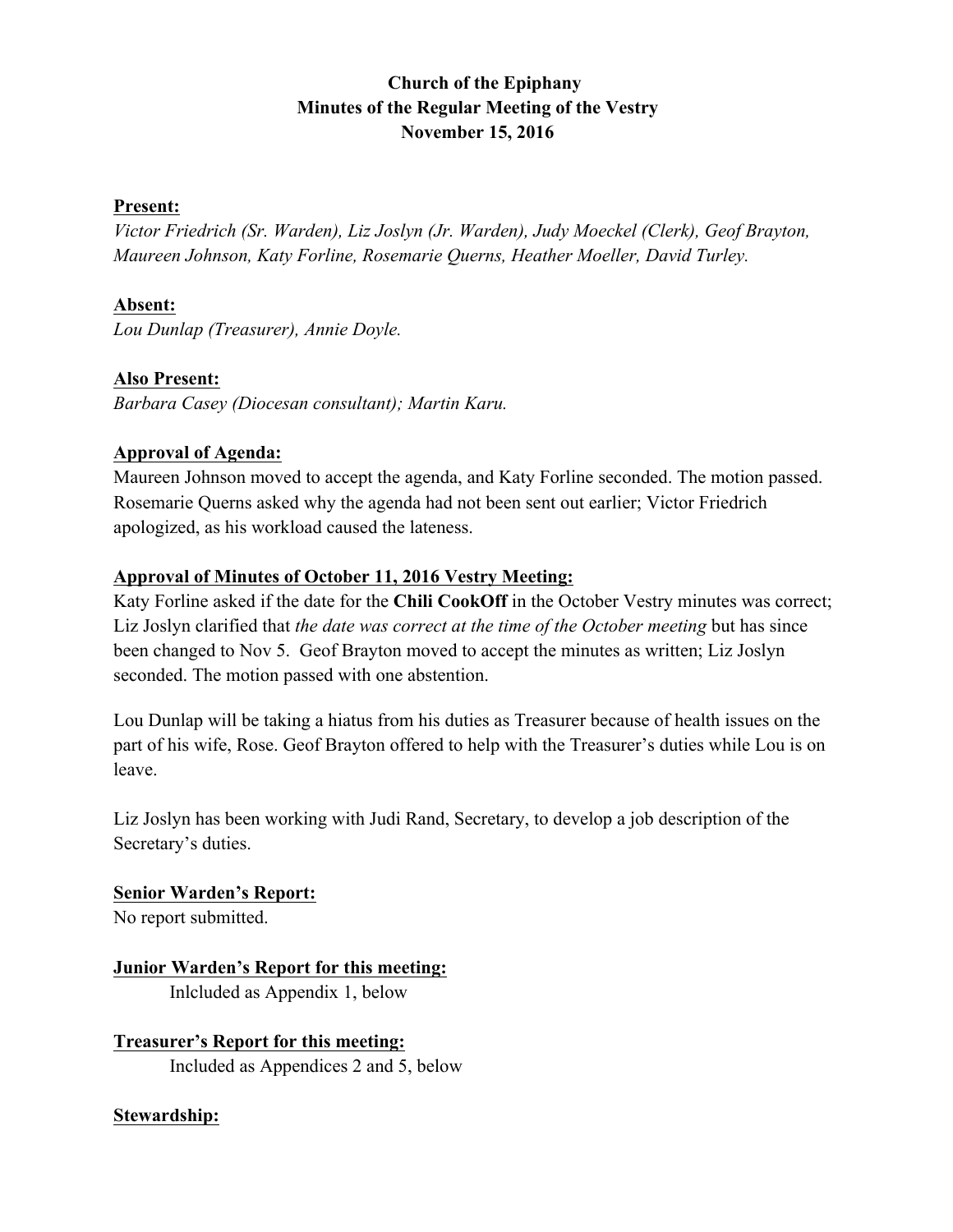# **Church of the Epiphany Minutes of the Regular Meeting of the Vestry November 15, 2016**

#### **Present:**

*Victor Friedrich (Sr. Warden), Liz Joslyn (Jr. Warden), Judy Moeckel (Clerk), Geof Brayton, Maureen Johnson, Katy Forline, Rosemarie Querns, Heather Moeller, David Turley.*

## **Absent:**

*Lou Dunlap (Treasurer), Annie Doyle.*

## **Also Present:**

*Barbara Casey (Diocesan consultant); Martin Karu.*

#### **Approval of Agenda:**

Maureen Johnson moved to accept the agenda, and Katy Forline seconded. The motion passed. Rosemarie Querns asked why the agenda had not been sent out earlier; Victor Friedrich apologized, as his workload caused the lateness.

#### **Approval of Minutes of October 11, 2016 Vestry Meeting:**

Katy Forline asked if the date for the **Chili CookOff** in the October Vestry minutes was correct; Liz Joslyn clarified that *the date was correct at the time of the October meeting* but has since been changed to Nov 5. Geof Brayton moved to accept the minutes as written; Liz Joslyn seconded. The motion passed with one abstention.

Lou Dunlap will be taking a hiatus from his duties as Treasurer because of health issues on the part of his wife, Rose. Geof Brayton offered to help with the Treasurer's duties while Lou is on leave.

Liz Joslyn has been working with Judi Rand, Secretary, to develop a job description of the Secretary's duties.

# **Senior Warden's Report:**

No report submitted.

## **Junior Warden's Report for this meeting:** Inlcluded as Appendix 1, below

**Treasurer's Report for this meeting:** Included as Appendices 2 and 5, below

## **Stewardship:**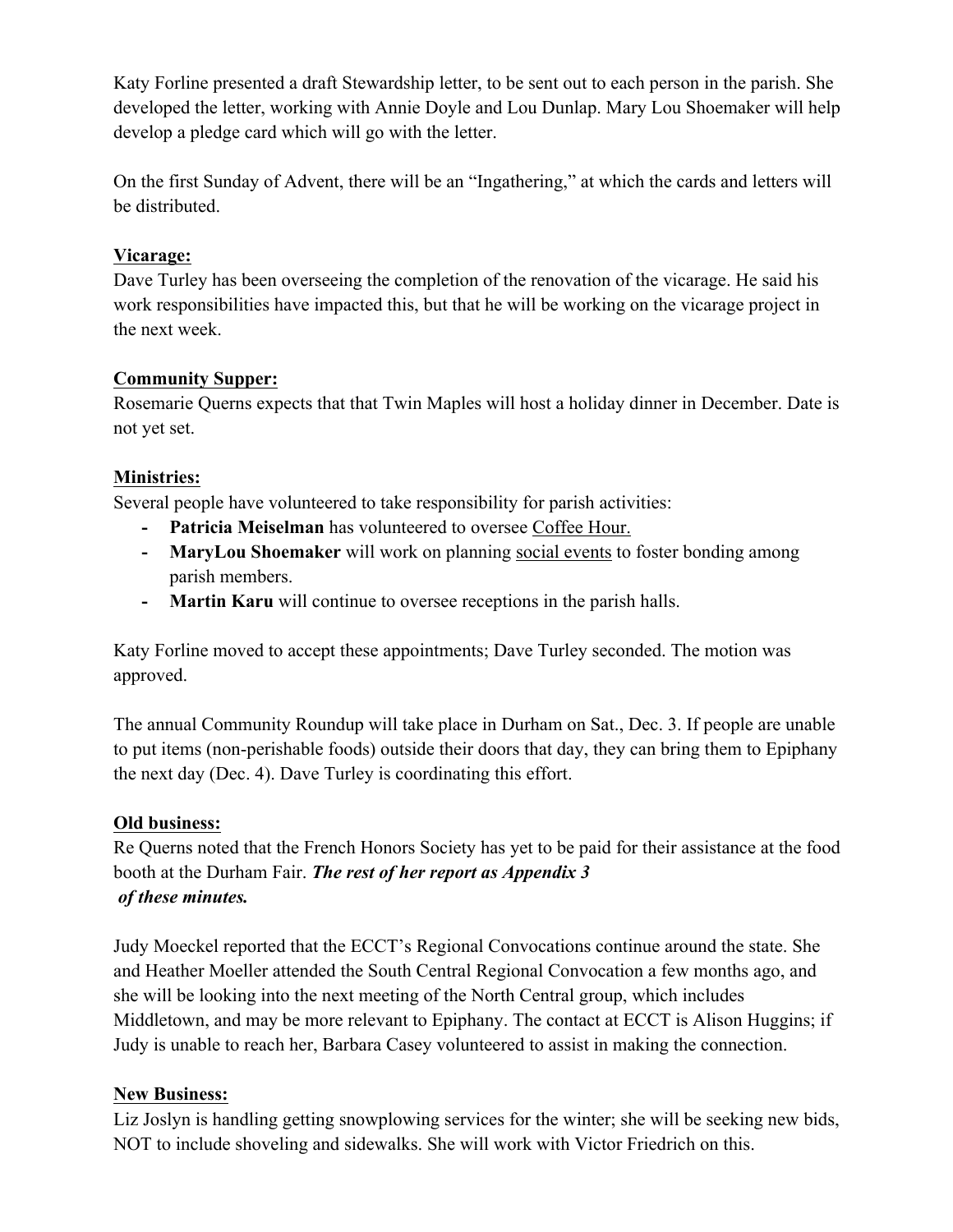Katy Forline presented a draft Stewardship letter, to be sent out to each person in the parish. She developed the letter, working with Annie Doyle and Lou Dunlap. Mary Lou Shoemaker will help develop a pledge card which will go with the letter.

On the first Sunday of Advent, there will be an "Ingathering," at which the cards and letters will be distributed.

## **Vicarage:**

Dave Turley has been overseeing the completion of the renovation of the vicarage. He said his work responsibilities have impacted this, but that he will be working on the vicarage project in the next week.

## **Community Supper:**

Rosemarie Querns expects that that Twin Maples will host a holiday dinner in December. Date is not yet set.

# **Ministries:**

Several people have volunteered to take responsibility for parish activities:

- **- Patricia Meiselman** has volunteered to oversee Coffee Hour.
- **- MaryLou Shoemaker** will work on planning social events to foster bonding among parish members.
- **- Martin Karu** will continue to oversee receptions in the parish halls.

Katy Forline moved to accept these appointments; Dave Turley seconded. The motion was approved.

The annual Community Roundup will take place in Durham on Sat., Dec. 3. If people are unable to put items (non-perishable foods) outside their doors that day, they can bring them to Epiphany the next day (Dec. 4). Dave Turley is coordinating this effort.

# **Old business:**

Re Querns noted that the French Honors Society has yet to be paid for their assistance at the food booth at the Durham Fair. *The rest of her report as Appendix 3 of these minutes.*

Judy Moeckel reported that the ECCT's Regional Convocations continue around the state. She and Heather Moeller attended the South Central Regional Convocation a few months ago, and she will be looking into the next meeting of the North Central group, which includes Middletown, and may be more relevant to Epiphany. The contact at ECCT is Alison Huggins; if Judy is unable to reach her, Barbara Casey volunteered to assist in making the connection.

# **New Business:**

Liz Joslyn is handling getting snowplowing services for the winter; she will be seeking new bids, NOT to include shoveling and sidewalks. She will work with Victor Friedrich on this.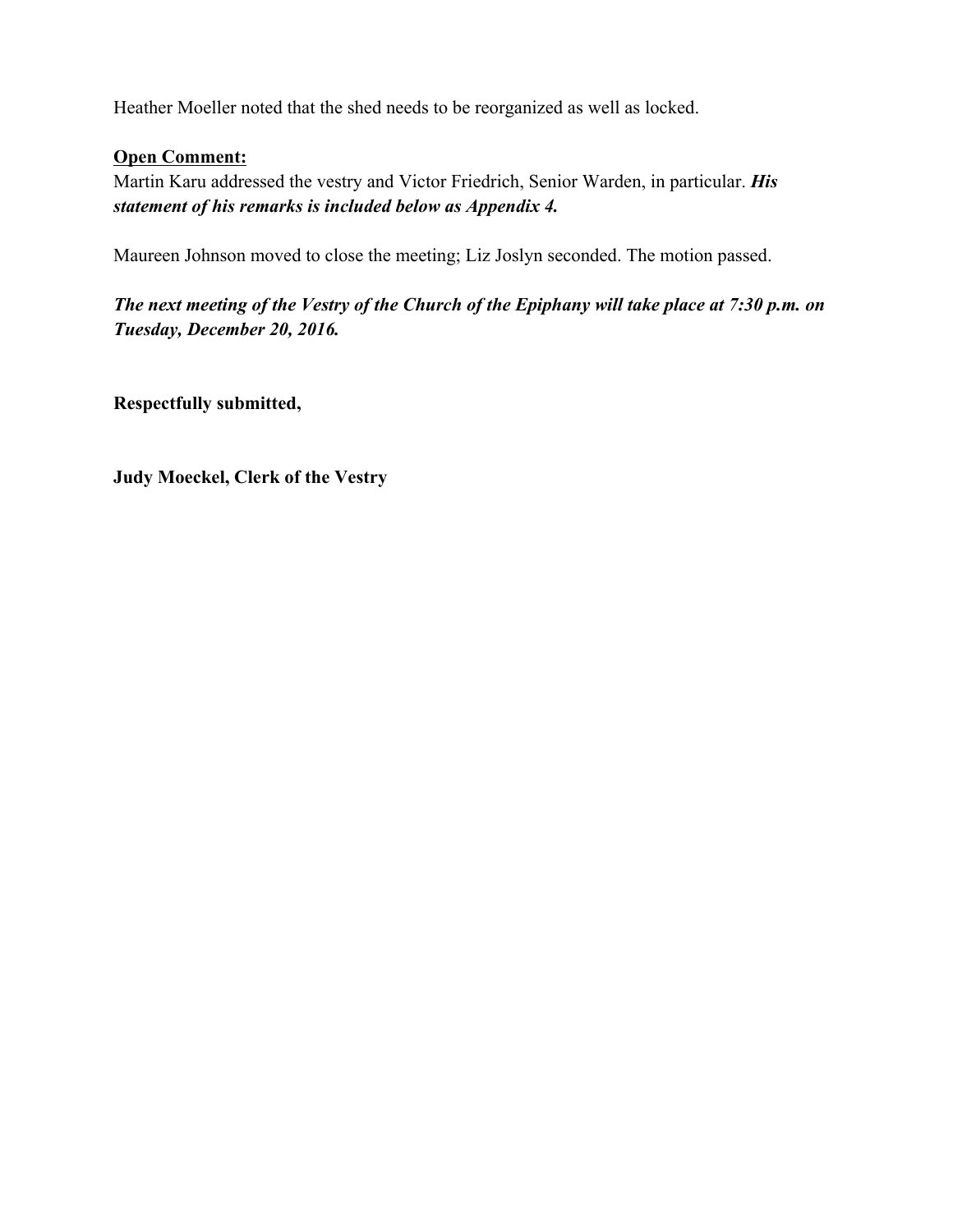Heather Moeller noted that the shed needs to be reorganized as well as locked.

## **Open Comment:**

Martin Karu addressed the vestry and Victor Friedrich, Senior Warden, in particular. *His statement of his remarks is included below as Appendix 4.*

Maureen Johnson moved to close the meeting; Liz Joslyn seconded. The motion passed.

*The next meeting of the Vestry of the Church of the Epiphany will take place at 7:30 p.m. on Tuesday, December 20, 2016.*

**Respectfully submitted,**

**Judy Moeckel, Clerk of the Vestry**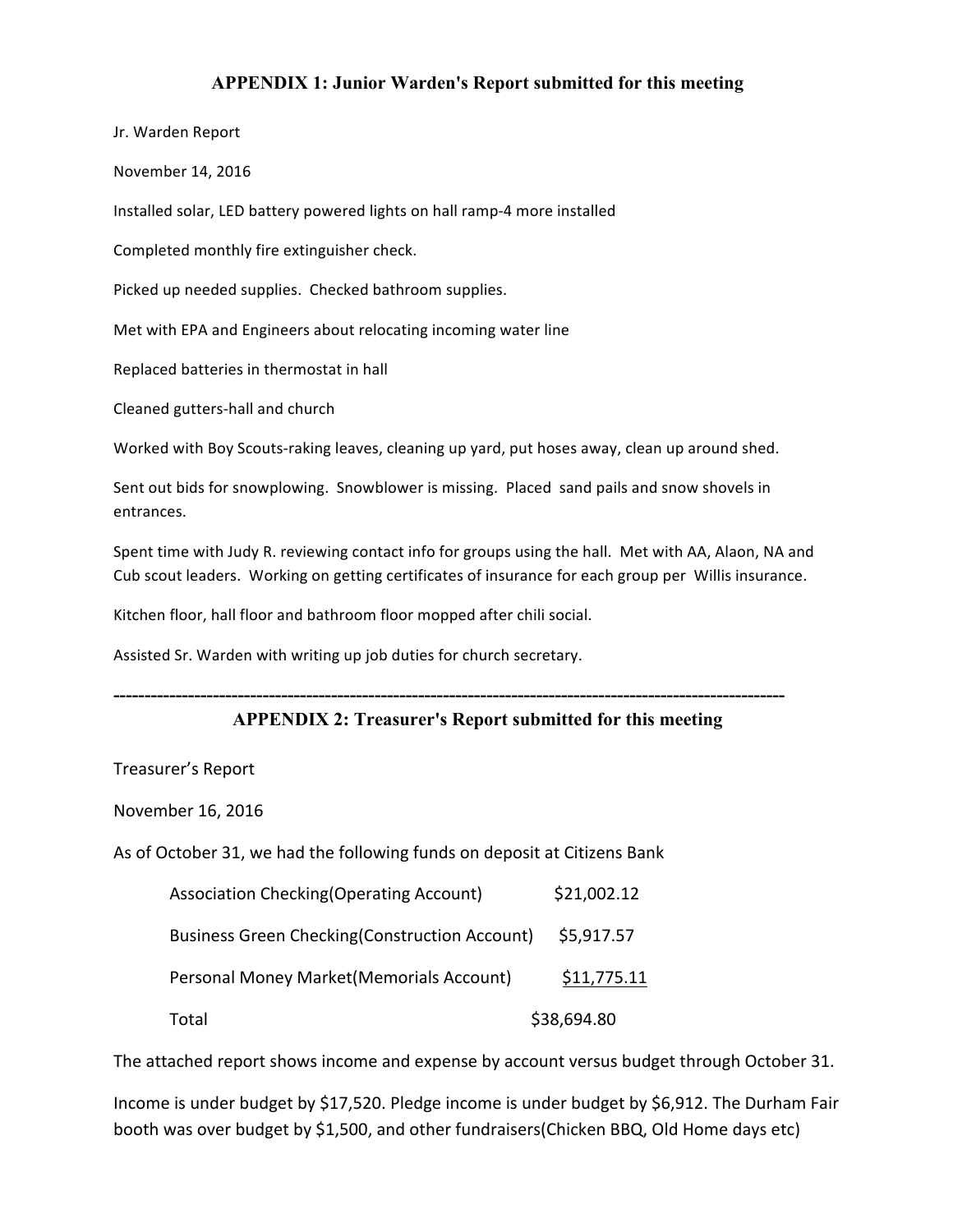#### **APPENDIX 1: Junior Warden's Report submitted for this meeting**

Jr. Warden Report

November 14, 2016

Installed solar, LED battery powered lights on hall ramp-4 more installed

Completed monthly fire extinguisher check.

Picked up needed supplies. Checked bathroom supplies.

Met with EPA and Engineers about relocating incoming water line

Replaced batteries in thermostat in hall

Cleaned gutters-hall and church

Worked with Boy Scouts-raking leaves, cleaning up yard, put hoses away, clean up around shed.

Sent out bids for snowplowing. Snowblower is missing. Placed sand pails and snow shovels in entrances.

Spent time with Judy R. reviewing contact info for groups using the hall. Met with AA, Alaon, NA and Cub scout leaders. Working on getting certificates of insurance for each group per Willis insurance.

Kitchen floor, hall floor and bathroom floor mopped after chili social.

Assisted Sr. Warden with writing up job duties for church secretary.

#### **APPENDIX 2: Treasurer's Report submitted for this meeting**

**------------------------------------------------------------------------------------------------------------**

Treasurer's Report

November 16, 2016

As of October 31, we had the following funds on deposit at Citizens Bank

| <b>Association Checking (Operating Account)</b>       | \$21,002.12 |
|-------------------------------------------------------|-------------|
| <b>Business Green Checking (Construction Account)</b> | \$5,917.57  |
| Personal Money Market (Memorials Account)             | \$11,775.11 |
| Total                                                 | \$38,694.80 |

The attached report shows income and expense by account versus budget through October 31.

Income is under budget by \$17,520. Pledge income is under budget by \$6,912. The Durham Fair booth was over budget by \$1,500, and other fundraisers(Chicken BBQ, Old Home days etc)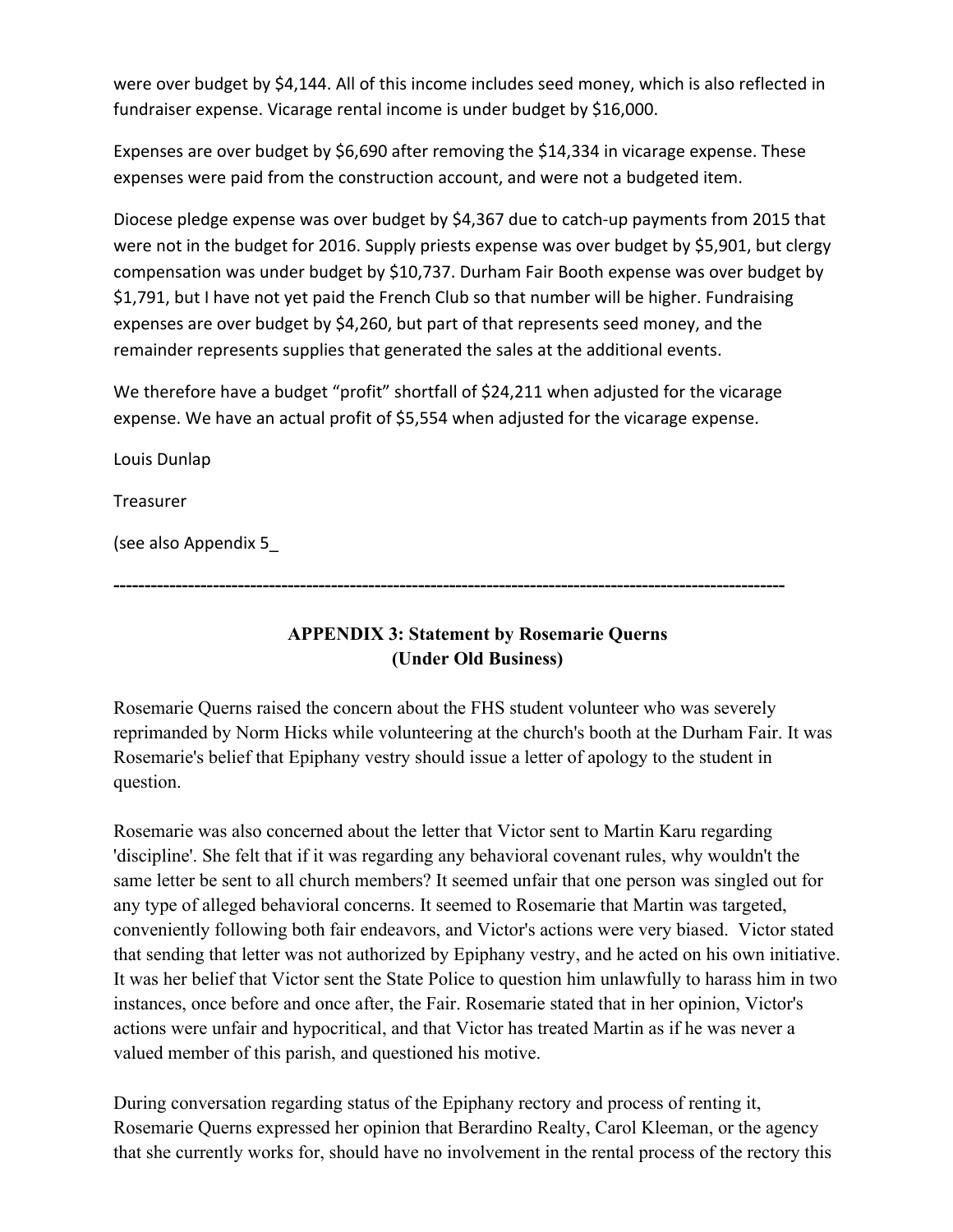were over budget by \$4,144. All of this income includes seed money, which is also reflected in fundraiser expense. Vicarage rental income is under budget by \$16,000.

Expenses are over budget by \$6,690 after removing the \$14,334 in vicarage expense. These expenses were paid from the construction account, and were not a budgeted item.

Diocese pledge expense was over budget by \$4,367 due to catch-up payments from 2015 that were not in the budget for 2016. Supply priests expense was over budget by \$5,901, but clergy compensation was under budget by \$10,737. Durham Fair Booth expense was over budget by \$1,791, but I have not yet paid the French Club so that number will be higher. Fundraising expenses are over budget by \$4,260, but part of that represents seed money, and the remainder represents supplies that generated the sales at the additional events.

We therefore have a budget "profit" shortfall of \$24,211 when adjusted for the vicarage expense. We have an actual profit of \$5,554 when adjusted for the vicarage expense.

Louis Dunlap

**Treasurer** 

(see also Appendix 5\_

**------------------------------------------------------------------------------------------------------------**

# **APPENDIX 3: Statement by Rosemarie Querns (Under Old Business)**

Rosemarie Querns raised the concern about the FHS student volunteer who was severely reprimanded by Norm Hicks while volunteering at the church's booth at the Durham Fair. It was Rosemarie's belief that Epiphany vestry should issue a letter of apology to the student in question.

Rosemarie was also concerned about the letter that Victor sent to Martin Karu regarding 'discipline'. She felt that if it was regarding any behavioral covenant rules, why wouldn't the same letter be sent to all church members? It seemed unfair that one person was singled out for any type of alleged behavioral concerns. It seemed to Rosemarie that Martin was targeted, conveniently following both fair endeavors, and Victor's actions were very biased. Victor stated that sending that letter was not authorized by Epiphany vestry, and he acted on his own initiative. It was her belief that Victor sent the State Police to question him unlawfully to harass him in two instances, once before and once after, the Fair. Rosemarie stated that in her opinion, Victor's actions were unfair and hypocritical, and that Victor has treated Martin as if he was never a valued member of this parish, and questioned his motive.

During conversation regarding status of the Epiphany rectory and process of renting it, Rosemarie Querns expressed her opinion that Berardino Realty, Carol Kleeman, or the agency that she currently works for, should have no involvement in the rental process of the rectory this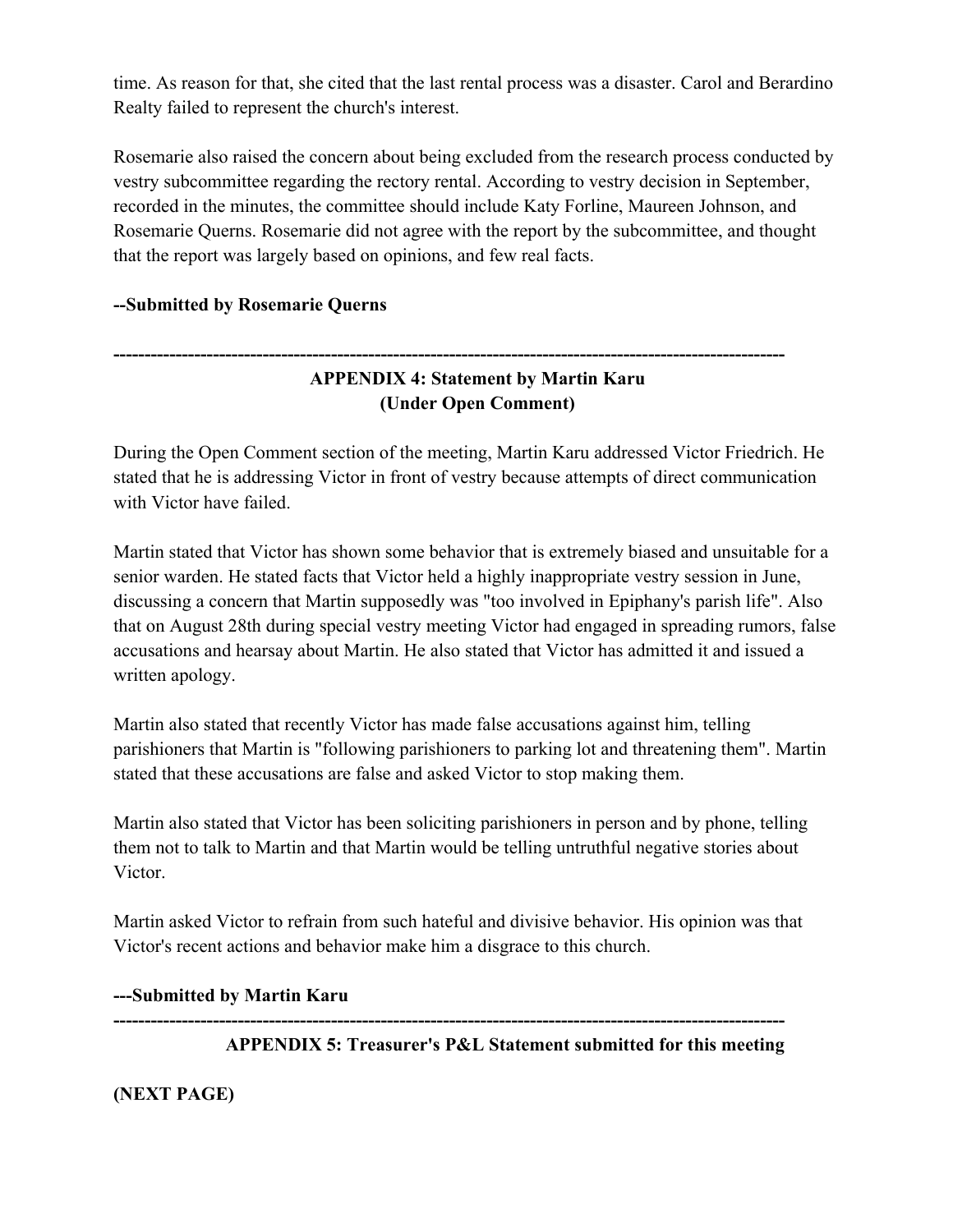time. As reason for that, she cited that the last rental process was a disaster. Carol and Berardino Realty failed to represent the church's interest.

Rosemarie also raised the concern about being excluded from the research process conducted by vestry subcommittee regarding the rectory rental. According to vestry decision in September, recorded in the minutes, the committee should include Katy Forline, Maureen Johnson, and Rosemarie Querns. Rosemarie did not agree with the report by the subcommittee, and thought that the report was largely based on opinions, and few real facts.

## **--Submitted by Rosemarie Querns**

# **APPENDIX 4: Statement by Martin Karu (Under Open Comment)**

**------------------------------------------------------------------------------------------------------------**

During the Open Comment section of the meeting, Martin Karu addressed Victor Friedrich. He stated that he is addressing Victor in front of vestry because attempts of direct communication with Victor have failed.

Martin stated that Victor has shown some behavior that is extremely biased and unsuitable for a senior warden. He stated facts that Victor held a highly inappropriate vestry session in June, discussing a concern that Martin supposedly was "too involved in Epiphany's parish life". Also that on August 28th during special vestry meeting Victor had engaged in spreading rumors, false accusations and hearsay about Martin. He also stated that Victor has admitted it and issued a written apology.

Martin also stated that recently Victor has made false accusations against him, telling parishioners that Martin is "following parishioners to parking lot and threatening them". Martin stated that these accusations are false and asked Victor to stop making them.

Martin also stated that Victor has been soliciting parishioners in person and by phone, telling them not to talk to Martin and that Martin would be telling untruthful negative stories about Victor.

Martin asked Victor to refrain from such hateful and divisive behavior. His opinion was that Victor's recent actions and behavior make him a disgrace to this church.

#### **---Submitted by Martin Karu**

**------------------------------------------------------------------------------------------------------------ APPENDIX 5: Treasurer's P&L Statement submitted for this meeting**

#### **(NEXT PAGE)**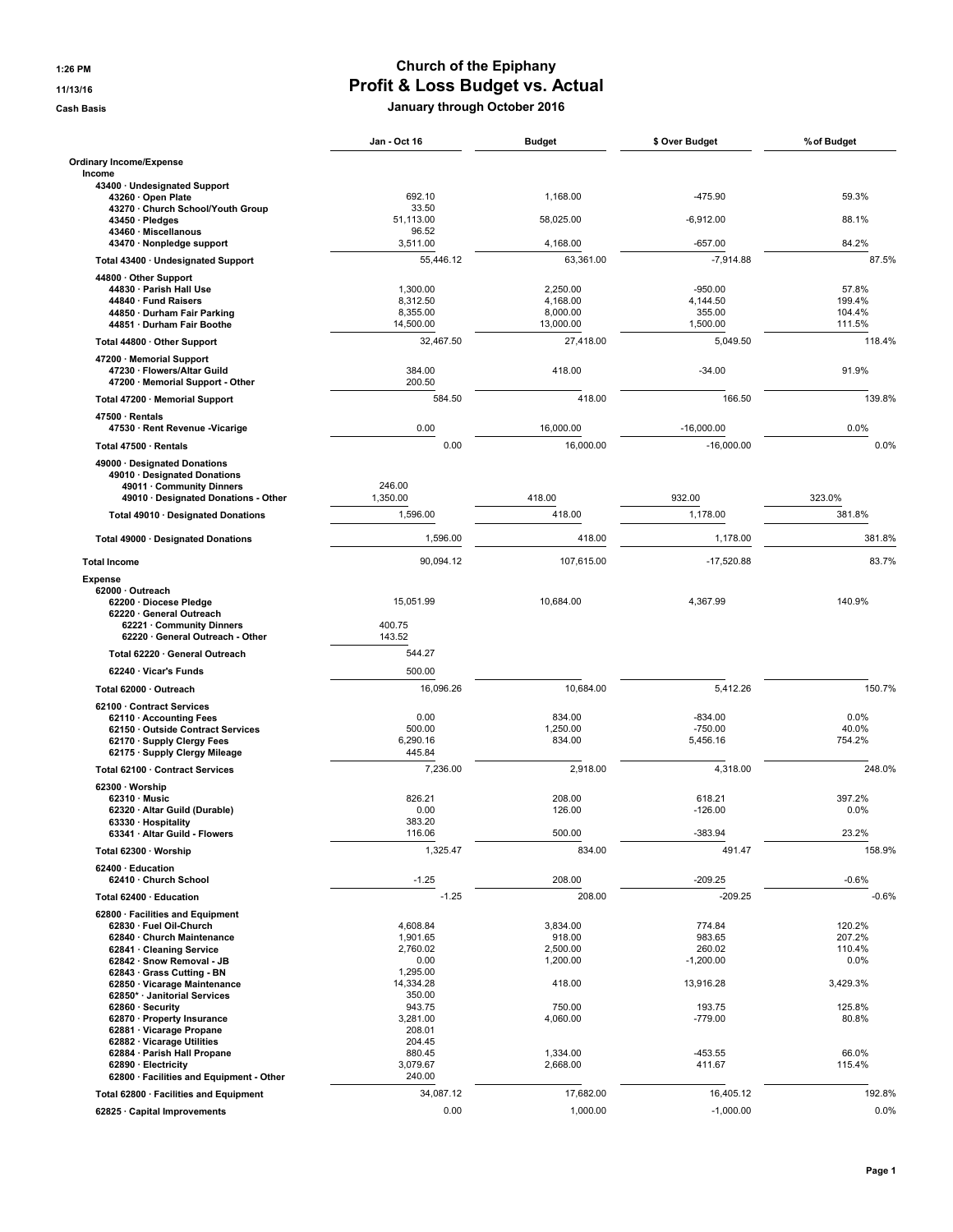## 1:26 PM Church of the Epiphany 11/13/16 Profit & Loss Budget vs. Actual

Cash Basis January through October 2016

|                                                                 | Jan - Oct 16         | <b>Budget</b>        | \$ Over Budget        | % of Budget     |
|-----------------------------------------------------------------|----------------------|----------------------|-----------------------|-----------------|
| <b>Ordinary Income/Expense</b>                                  |                      |                      |                       |                 |
| Income<br>43400 · Undesignated Support                          |                      |                      |                       |                 |
| 43260 · Open Plate                                              | 692.10               | 1,168.00             | -475.90               | 59.3%           |
| 43270 · Church School/Youth Group<br>43450 · Pledges            | 33.50<br>51,113.00   | 58,025.00            | $-6,912.00$           | 88.1%           |
| 43460 · Miscellanous<br>43470 · Nonpledge support               | 96.52<br>3,511.00    | 4,168.00             | $-657.00$             | 84.2%           |
| Total 43400 · Undesignated Support                              | 55,446.12            | 63,361.00            | $-7,914.88$           | 87.5%           |
| 44800 · Other Support                                           |                      |                      |                       |                 |
| 44830 · Parish Hall Use<br>44840 · Fund Raisers                 | 1,300.00             | 2,250.00<br>4,168.00 | $-950.00$<br>4.144.50 | 57.8%<br>199.4% |
| 44850 · Durham Fair Parking                                     | 8,312.50<br>8,355.00 | 8,000.00             | 355.00                | 104.4%          |
| 44851 · Durham Fair Boothe                                      | 14,500.00            | 13,000.00            | 1,500.00              | 111.5%          |
| Total 44800 · Other Support                                     | 32,467.50            | 27.418.00            | 5.049.50              | 118.4%          |
| 47200 Memorial Support                                          |                      |                      |                       |                 |
| 47230 · Flowers/Altar Guild<br>47200 · Memorial Support - Other | 384.00<br>200.50     | 418.00               | $-34.00$              | 91.9%           |
| Total 47200 · Memorial Support                                  | 584.50               | 418.00               | 166.50                | 139.8%          |
| 47500 · Rentals<br>47530 · Rent Revenue - Vicarige              | 0.00                 | 16,000.00            | $-16,000.00$          | 0.0%            |
| Total 47500 · Rentals                                           | 0.00                 | 16,000.00            | $-16,000.00$          | 0.0%            |
| 49000 · Designated Donations                                    |                      |                      |                       |                 |
| 49010 · Designated Donations                                    |                      |                      |                       |                 |
| 49011 · Community Dinners                                       | 246.00<br>1,350.00   | 418.00               | 932.00                | 323.0%          |
| 49010 · Designated Donations - Other                            | 1,596.00             | 418.00               | 1,178.00              | 381.8%          |
| Total 49010 · Designated Donations                              |                      |                      |                       |                 |
| Total 49000 · Designated Donations                              | 1,596.00             | 418.00               | 1,178.00              | 381.8%          |
| <b>Total Income</b>                                             | 90,094.12            | 107,615.00           | $-17,520.88$          | 83.7%           |
| <b>Expense</b><br>62000 · Outreach                              |                      |                      |                       |                 |
| 62200 · Diocese Pledge                                          | 15,051.99            | 10,684.00            | 4,367.99              | 140.9%          |
| 62220 · General Outreach<br>62221 · Community Dinners           | 400.75               |                      |                       |                 |
| 62220 · General Outreach - Other                                | 143.52               |                      |                       |                 |
| Total 62220 · General Outreach                                  | 544.27               |                      |                       |                 |
| 62240 · Vicar's Funds                                           | 500.00               |                      |                       |                 |
| Total 62000 · Outreach                                          | 16,096.26            | 10,684.00            | 5,412.26              | 150.7%          |
| 62100 Contract Services                                         |                      |                      |                       |                 |
| 62110 · Accounting Fees                                         | 0.00                 | 834.00               | $-834.00$             | 0.0%            |
| 62150 Outside Contract Services                                 | 500.00               | 1,250.00             | $-750.00$             | 40.0%           |
| 62170 · Supply Clergy Fees<br>62175 · Supply Clergy Mileage     | 6,290.16<br>445.84   | 834.00               | 5,456.16              | 754.2%          |
| Total 62100 · Contract Services                                 | 7,236.00             | 2.918.00             | 4,318.00              | 248.0%          |
| 62300 · Worship                                                 |                      |                      |                       |                 |
| $62310 \cdot$ Music                                             | 826.21               | 208.00               | 618.21                | 397.2%          |
| 62320 · Altar Guild (Durable)                                   | 0.00<br>383.20       | 126.00               | $-126.00$             | 0.0%            |
| 63330 · Hospitality<br>63341 Altar Guild - Flowers              | 116.06               | 500.00               | $-383.94$             | 23.2%           |
| Total 62300 · Worship                                           | 1,325.47             | 834.00               | 491.47                | 158.9%          |
| 62400 · Education<br>62410 · Church School                      | $-1.25$              | 208.00               | $-209.25$             | $-0.6%$         |
| Total 62400 · Education                                         | $-1.25$              | 208.00               | $-209.25$             | $-0.6%$         |
| 62800 · Facilities and Equipment                                |                      |                      |                       |                 |
| 62830 · Fuel Oil-Church                                         | 4,608.84             | 3,834.00             | 774.84                | 120.2%          |
| 62840 · Church Maintenance                                      | 1,901.65             | 918.00               | 983.65                | 207.2%          |
| 62841 · Cleaning Service<br>62842 · Snow Removal - JB           | 2,760.02<br>0.00     | 2,500.00<br>1,200.00 | 260.02<br>$-1,200.00$ | 110.4%<br>0.0%  |
| 62843 Grass Cutting - BN                                        | 1,295.00             |                      |                       |                 |
| 62850 · Vicarage Maintenance                                    | 14,334.28            | 418.00               | 13,916.28             | 3,429.3%        |
| 62850* · Janitorial Services<br>62860 · Security                | 350.00               |                      |                       | 125.8%          |
| 62870 · Property Insurance                                      | 943.75<br>3,281.00   | 750.00<br>4,060.00   | 193.75<br>-779.00     | 80.8%           |
| 62881 · Vicarage Propane                                        | 208.01               |                      |                       |                 |
| 62882 · Vicarage Utilities                                      | 204.45               |                      |                       |                 |
| 62884 · Parish Hall Propane<br>62890 · Electricity              | 880.45<br>3,079.67   | 1,334.00<br>2,668.00 | -453.55<br>411.67     | 66.0%<br>115.4% |
| 62800 · Facilities and Equipment - Other                        | 240.00               |                      |                       |                 |
| Total 62800 · Facilities and Equipment                          | 34,087.12            | 17,682.00            | 16,405.12             | 192.8%          |
| 62825 · Capital Improvements                                    | 0.00                 | 1,000.00             | $-1,000.00$           | 0.0%            |